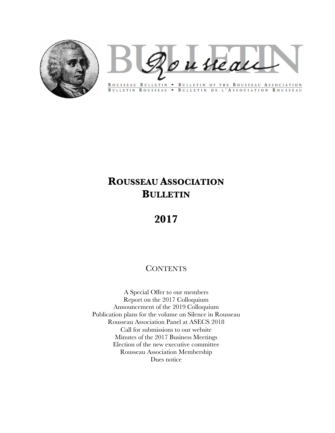

Rousseau

ROUSSEAU BULLETIN . BULLETIN OF THE ROUSSEAU ASSOCIATION BULLETIN ROUSSEAU . BULLETIN DE L'ASSOCIATION ROUSSEAU

# **ROUSSEAU ASSOCIATION BULLETIN**

# **2017**

# **CONTENTS**

A Special Offer to our members Report on the 2017 Colloquium Announcement of the 2019 Colloquium Publication plans for the volume on Silence in Rousseau Rousseau Association Panel at ASECS 2018 Call for submissions to our website Minutes of the 2017 Business Meetings Election of the new executive committee Rousseau Association Membership Dues notice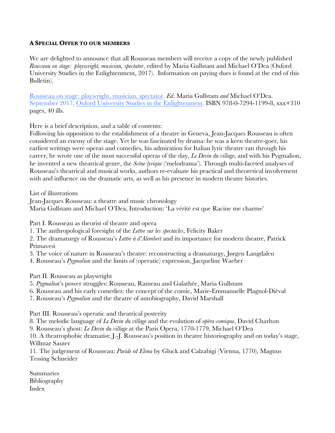#### **A SPECIAL OFFER TO OUR MEMBERS**

We are delighted to announce that all Rousseau members will receive a copy of the newly published *Rousseau on stage: playwright, musician, spectator*, edited by Maria Gullstam and Michael O'Dea (Oxford University Studies in the Enlightenment, 2017). Information on paying dues is found at the end of this Bulletin).

Rousseau on stage: playwright, musician, spectator. *Ed*. Maria Gullstam *and* Michael O'Dea. September 2017, Oxford University Studies in the Enlightenment. ISBN 978-0-7294-1199-8, xxx+310 pages, 40 ills.

Here is a brief description, and a table of contents:

Following his opposition to the establishment of a theatre in Geneva, Jean-Jacques Rousseau is often considered an enemy of the stage. Yet he was fascinated by drama: he was a keen theatre-goer, his earliest writings were operas and comedies, his admiration for Italian lyric theatre ran through his career, he wrote one of the most successful operas of the day, *Le Devin du village*, and with his Pygmalion, he invented a new theatrical genre, the *Scène lyrique* ('melodrama'). Through multi-faceted analyses of Rousseau's theatrical and musical works, authors re-evaluate his practical and theoretical involvement with and influence on the dramatic arts, as well as his presence in modern theatre histories.

List of illustrations

Jean-Jacques Rousseau: a theatre and music chronology Maria Gullstam and Michael O'Dea, Introduction: 'La vérité est que Racine me charme'

Part I. Rousseau as theorist of theatre and opera

1. The anthropological foresight of the *Lettre sur les spectacles*, Felicity Baker

2. The dramaturgy of Rousseau's *Lettre à d'Alembert* and its importance for modern theatre, Patrick Primavesi

- 3. The voice of nature in Rousseau's theatre: reconstructing a dramaturgy, Jørgen Langdalen
- 4. Rousseau's *Pygmalion* and the limits of (operatic) expression, Jacqueline Waeber

Part II. Rousseau as playwright

- 5. *Pygmalion*'s power struggles: Rousseau, Rameau and Galathée, Maria Gullstam
- 6. Rousseau and his early comedies: the concept of the comic, Marie-Emmanuelle Plagnol-Diéval
- 7. Rousseau's *Pygmalion* and the theatre of autobiography, David Marshall

Part III. Rousseau's operatic and theatrical posterity

8. The melodic language of *Le Devin du village* and the evolution of *opéra-comique*, David Charlton

9. Rousseau's ghost: *Le Devin du village* at the Paris Opera, 1770-1779, Michael O'Dea

10. A theatrophobic dramatist: J.-J. Rousseau's position in theatre historiography and on today's stage, Willmar Sauter

11. The judgement of Rousseau: *Paride ed Elena* by Gluck and Calzabigi (Vienna, 1770), Magnus Tessing Schneider

Summaries Bibliography Index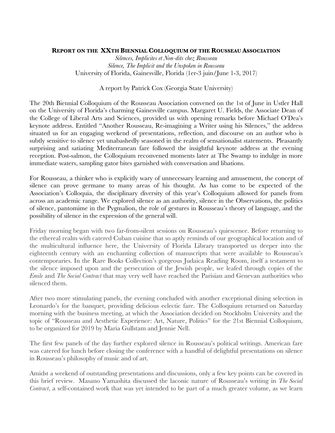#### **REPORT ON THE XXTH BIENNIAL COLLOQUIUM OF THE ROUSSEAU ASSOCIATION**

*Silences, Implicites et Non-dits chez Rousseau Silence, The Implicit and the Unspoken in Rousseau* University of Florida, Gainesville, Florida (1er-3 juin/June 1-3, 2017)

#### A report by Patrick Cox (Georgia State University)

The 20th Biennial Colloquium of the Rousseau Association convened on the 1st of June in Ustler Hall on the University of Florida's charming Gainesville campus. Margaret U. Fields, the Associate Dean of the College of Liberal Arts and Sciences, provided us with opening remarks before Michael O'Dea's keynote address. Entitled "Another Rousseau, Re-imagining a Writer using his Silences," the address situated us for an engaging weekend of presentations, reflection, and discourse on an author who is subtly sensitive to silence yet unabashedly seasoned in the realm of sensationalist statements. Pleasantly surprising and satiating Mediterranean fare followed the insightful keynote address at the evening reception. Post-salmon, the Colloquium reconvened moments later at The Swamp to indulge in more immediate waters, sampling gator bites garnished with conversation and libations.

For Rousseau, a thinker who is explicitly wary of unnecessary learning and amusement, the concept of silence can prove germane to many areas of his thought. As has come to be expected of the Association's Colloquia, the disciplinary diversity of this year's Colloquium allowed for panels from across an academic range. We explored silence as an authority, silence in the Observations, the politics of silence, pantomime in the Pygmalion, the role of gestures in Rousseau's theory of language, and the possibility of silence in the expression of the general will.

Friday morning began with two far-from-silent sessions on Rousseau's quiescence. Before returning to the ethereal realm with catered Cuban cuisine that so aptly reminds of our geographical location and of the multicultural influence here, the University of Florida Library transported us deeper into the eighteenth century with an enchanting collection of manuscripts that were available to Rousseau's contemporaries. In the Rare Books Collection's gorgeous Judaica Reading Room, itself a testament to the silence imposed upon and the persecution of the Jewish people, we leafed through copies of the *Emile* and *The Social Contract* that may very well have reached the Parisian and Genevan authorities who silenced them.

After two more stimulating panels, the evening concluded with another exceptional dining selection in Leonardo's for the banquet, providing delicious eclectic fare. The Colloquium returned on Saturday morning with the business meeting, at which the Association decided on Stockholm University and the topic of "Rousseau and Aesthetic Experience: Art, Nature, Politics" for the 21st Biennial Colloquium, to be organized for 2019 by Maria Gullstam and Jennie Nell.

The first few panels of the day further explored silence in Rousseau's political writings. American fare was catered for lunch before closing the conference with a handful of delightful presentations on silence in Rousseau's philosophy of music and of art.

Amidst a weekend of outstanding presentations and discussions, only a few key points can be covered in this brief review. Masano Yamashita discussed the laconic nature of Rousseau's writing in *The Social Contract*, a self-contained work that was yet intended to be part of a much greater volume, as we learn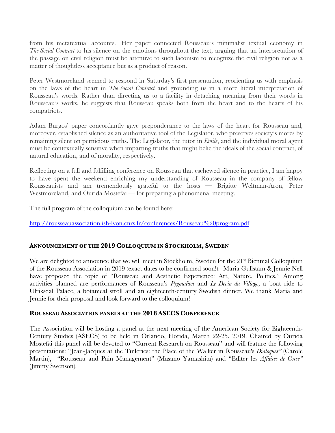from his metatextual accounts. Her paper connected Rousseau's minimalist textual economy in *The Social Contract* to his silence on the emotions throughout the text, arguing that an interpretation of the passage on civil religion must be attentive to such laconism to recognize the civil religion not as a matter of thoughtless acceptance but as a product of reason.

Peter Westmoreland seemed to respond in Saturday's first presentation, reorienting us with emphasis on the laws of the heart in *The Social Contract* and grounding us in a more literal interpretation of Rousseau's words. Rather than directing us to a facility in detaching meaning from their words in Rousseau's works, he suggests that Rousseau speaks both from the heart and to the hearts of his compatriots.

Adam Burgos' paper concordantly gave preponderance to the laws of the heart for Rousseau and, moreover, established silence as an authoritative tool of the Legislator, who preserves society's mores by remaining silent on pernicious truths. The Legislator, the tutor in *Emile*, and the individual moral agent must be contextually sensitive when imparting truths that might belie the ideals of the social contract, of natural education, and of morality, respectively.

Reflecting on a full and fulfilling conference on Rousseau that eschewed silence in practice, I am happy to have spent the weekend enriching my understanding of Rousseau in the company of fellow Rousseauists and am tremendously grateful to the hosts — Brigitte Weltman-Aron, Peter Westmoreland, and Ourida Mostefai — for preparing a phenomenal meeting.

The full program of the colloquium can be found here:

http://rousseauassociation.ish-lyon.cnrs.fr/conferences/Rousseau%20program.pdf

#### **ANNOUNCEMENT OF THE 2019 COLLOQUIUM IN STOCKHOLM, SWEDEN**

We are delighted to announce that we will meet in Stockholm, Sweden for the 21<sup>st</sup> Biennial Colloquium of the Rousseau Association in 2019 (exact dates to be confirmed soon!). Maria Gullstam & Jennie Nell have proposed the topic of "Rousseau and Aesthetic Experience: Art, Nature, Politics." Among activities planned are performances of Rousseau's *Pygmalion* and *Le Devin du Village*, a boat ride to Ulriksdal Palace, a botanical stroll and an eighteenth-century Swedish dinner. We thank Maria and Jennie for their proposal and look forward to the colloquium!

#### **ROUSSEAU ASSOCIATION PANELS AT THE 2018 ASECS CONFERENCE**

The Association will be hosting a panel at the next meeting of the American Society for Eighteenth-Century Studies (ASECS) to be held in Orlando, Florida, March 22-25, 2019. Chaired by Ourida Mostefai this panel will be devoted to "Current Research on Rousseau" and will feature the following presentations: "Jean-Jacques at the Tuileries: the Place of the Walker in Rousseau's *Dialogues"* (Carole Martin), "Rousseau and Pain Management" (Masano Yamashita) and "Editer les *Affaires de Corse"* (Jimmy Swenson).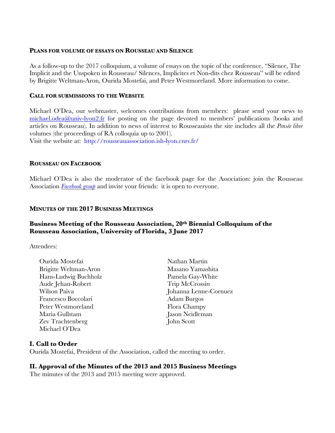#### **PLANS FOR VOLUME OF ESSAYS ON ROUSSEAU AND SILENCE**

As a follow-up to the 2017 colloquium, a volume of essays on the topic of the conference, "Silence, The Implicit and the Unspoken in Rousseau/ Silences, Implicites et Non-dits chez Rousseau" will be edited by Brigitte Weltman-Aron, Ourida Mostefai, and Peter Westmoreland. More information to come.

#### **CALL FOR SUBMISSIONS TO THE WEBSITE**

Michael O'Dea, our webmaster, welcomes contributions from members: please send your news to michael.odea@univ-lyon2.fr for posting on the page devoted to members' publications (books and articles on Rousseau). In addition to news of interest to Rousseauists the site includes all the *Pensée libre* volumes (the proceedings of RA colloquia up to 2001).

Visit the website at: http://rousseauassociation.ish-lyon.cnrs.fr/

#### **ROUSSEAU ON FACEBOOK**

Michael O'Dea is also the moderator of the facebook page for the Association: join the Rousseau Association *Facebook group* and invite your friends: it is open to everyone.

#### **MINUTES OF THE 2017 BUSINESS MEETINGS**

#### **Business Meeting of the Rousseau Association, 20th Biennial Colloquium of the Rousseau Association, University of Florida, 3 June 2017**

Attendees:

- Ourida Mostefai Nathan Martin Brigitte Weltman-Aron Masano Yamashita Hans-Ludwig Buchholz Pamela Gay-White Aude Jehan-Robert Trip McCrossin Wilson Paiva Johanna Lenne-Cornuez Francesco Boccolari Adam Burgos Peter Westmoreland Flora Champy Maria Gullstam Jason Neidleman Zev Trachtenberg John Scott Michael O'Dea
- 

#### **I. Call to Order**

Ourida Mostefai, President of the Association, called the meeting to order.

#### **II. Approval of the Minutes of the 2013 and 2015 Business Meetings**

The minutes of the 2013 and 2015 meeting were approved.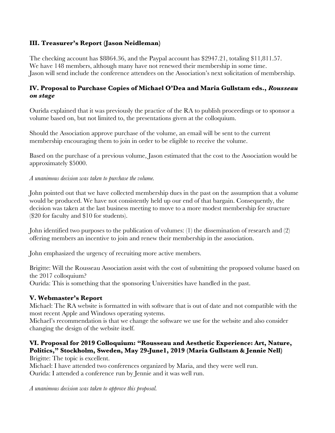# **III. Treasurer's Report (Jason Neidleman)**

The checking account has \$8864.36, and the Paypal account has \$2947.21, totaling \$11,811.57. We have 148 members, although many have not renewed their membership in some time. Jason will send include the conference attendees on the Association's next solicitation of membership.

# **IV. Proposal to Purchase Copies of Michael O'Dea and Maria Gullstam eds.,** *Rousseau on stage*

Ourida explained that it was previously the practice of the RA to publish proceedings or to sponsor a volume based on, but not limited to, the presentations given at the colloquium.

Should the Association approve purchase of the volume, an email will be sent to the current membership encouraging them to join in order to be eligible to receive the volume.

Based on the purchase of a previous volume, Jason estimated that the cost to the Association would be approximately \$5000.

*A unanimous decision was taken to purchase the volume.*

John pointed out that we have collected membership dues in the past on the assumption that a volume would be produced. We have not consistently held up our end of that bargain. Consequently, the decision was taken at the last business meeting to move to a more modest membership fee structure (\$20 for faculty and \$10 for students).

John identified two purposes to the publication of volumes: (1) the dissemination of research and (2) offering members an incentive to join and renew their membership in the association.

John emphasized the urgency of recruiting more active members.

Brigitte: Will the Rousseau Association assist with the cost of submitting the proposed volume based on the 2017 colloquium?

Ourida: This is something that the sponsoring Universities have handled in the past.

# **V. Webmaster's Report**

Michael: The RA website is formatted in with software that is out of date and not compatible with the most recent Apple and Windows operating systems.

Michael's recommendation is that we change the software we use for the website and also consider changing the design of the website itself.

# **VI. Proposal for 2019 Colloquium: "Rousseau and Aesthetic Experience: Art, Nature, Politics," Stockholm, Sweden, May 29-June1, 2019 (Maria Gullstam & Jennie Nell)**

Brigitte: The topic is excellent.

Michael: I have attended two conferences organized by Maria, and they were well run. Ourida: I attended a conference run by Jennie and it was well run.

*A unanimous decision was taken to approve this proposal.*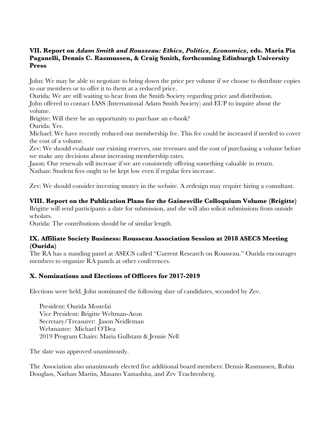# **VII. Report on** *Adam Smith and Rousseau: Ethics, Politics, Economics,* **eds. Maria Pia Paganelli, Dennis C. Rasmussen, & Craig Smith, forthcoming Edinburgh University Press**

John: We may be able to negotiate to bring down the price per volume if we choose to distribute copies to our members or to offer it to them at a reduced price.

Ourida: We are still waiting to hear from the Smith Society regarding price and distribution.

John offered to contact IASS (International Adam Smith Society) and EUP to inquire about the volume.

Brigitte: Will there be an opportunity to purchase an e-book?

Ourida: Yes.

Michael: We have recently reduced our membership fee. This fee could be increased if needed to cover the cost of a volume.

Zev: We should evaluate our existing reserves, our revenues and the cost of purchasing a volume before we make any decisions about increasing membership rates.

Jason: Our renewals will increase if we are consistently offering something valuable in return.

Nathan: Student fees ought to be kept low even if regular fees increase.

Zev: We should consider investing money in the website. A redesign may require hiring a consultant.

# **VIII. Report on the Publication Plans for the Gainesville Colloquium Volume (Brigitte)**

Brigitte will send participants a date for submission, and she will also solicit submissions from outside scholars.

Ourida: The contributions should be of similar length.

#### **IX. Affiliate Society Business: Rousseau Association Session at 2018 ASECS Meeting (Ourida)**

The RA has a standing panel at ASECS called "Current Research on Rousseau." Ourida encourages members to organize RA panels at other conferences.

# **X. Nominations and Elections of Officers for 2017-2019**

Elections were held. John nominated the following slate of candidates, seconded by Zev.

President: Ourida Mostefai Vice President: Brigitte Weltman-Aron Secretary/Treasurer: Jason Neidleman Webmaster: Michael O'Dea 2019 Program Chairs: Maria Gullstam & Jennie Nell

The slate was approved unanimously.

The Association also unanimously elected five additional board members: Dennis Rasmussen, Robin Douglass, Nathan Martin, Masano Yamashita, and Zev Trachtenberg.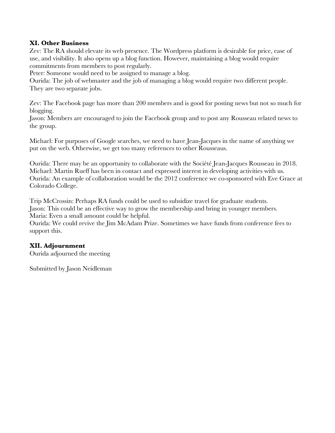## **XI. Other Business**

Zev: The RA should elevate its web presence. The Wordpress platform is desirable for price, ease of use, and visibility. It also opens up a blog function. However, maintaining a blog would require commitments from members to post regularly.

Peter: Someone would need to be assigned to manage a blog.

Ourida: The job of webmaster and the job of managing a blog would require two different people. They are two separate jobs.

Zev: The Facebook page has more than 200 members and is good for posting news but not so much for blogging.

Jason: Members are encouraged to join the Facebook group and to post any Rousseau related news to the group.

Michael: For purposes of Google searches, we need to have Jean-Jacques in the name of anything we put on the web. Otherwise, we get too many references to other Rousseaus.

Ourida: There may be an opportunity to collaborate with the Société Jean-Jacques Rousseau in 2018. Michael: Martin Rueff has been in contact and expressed interest in developing activities with us. Ourida: An example of collaboration would be the 2012 conference we co-sponsored with Eve Grace at Colorado College.

Trip McCrossin: Perhaps RA funds could be used to subsidize travel for graduate students. Jason: This could be an effective way to grow the membership and bring in younger members. Maria: Even a small amount could be helpful.

Ourida: We could revive the Jim McAdam Prize. Sometimes we have funds from conference fees to support this.

#### **XII. Adjournment**

Ourida adjourned the meeting

Submitted by Jason Neidleman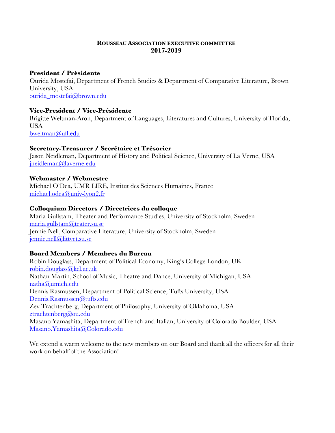#### **ROUSSEAU ASSOCIATION EXECUTIVE COMMITTEE 2017-2019**

## **President / Présidente**

Ourida Mostefai, Department of French Studies & Department of Comparative Literature, Brown University, USA ourida\_mostefai@brown.edu

# **Vice-President / Vice-Présidente**

Brigitte Weltman-Aron, Department of Languages, Literatures and Cultures, University of Florida, **USA** bweltman@ufl.edu

#### **Secretary-Treasurer / Secrétaire et Trésorier**

Jason Neidleman, Department of History and Political Science, University of La Verne, USA jneidleman@laverne.edu

#### **Webmaster / Webmestre**

Michael O'Dea, UMR LIRE, Institut des Sciences Humaines, France michael.odea@univ-lyon2.fr

#### **Colloquium Directors / Directrices du colloque**

Maria Gullstam, Theater and Performance Studies, University of Stockholm, Sweden maria.gullstam@teater.su.se Jennie Nell, Comparative Literature, University of Stockholm, Sweden jennie.nell@littvet.su.se

# **Board Members / Membres du Bureau**

Robin Douglass, Department of Political Economy, King's College London, UK robin.douglass@kcl.ac.uk Nathan Martin, School of Music, Theatre and Dance, University of Michigan, USA natha@umich.edu Dennis Rasmussen, Department of Political Science, Tufts University, USA Dennis.Rasmussen@tufts.edu Zev Trachtenberg, Department of Philosophy, University of Oklahoma, USA ztrachtenberg@ou.edu Masano Yamashita, Department of French and Italian, University of Colorado Boulder, USA Masano.Yamashita@Colorado.edu

We extend a warm welcome to the new members on our Board and thank all the officers for all their work on behalf of the Association!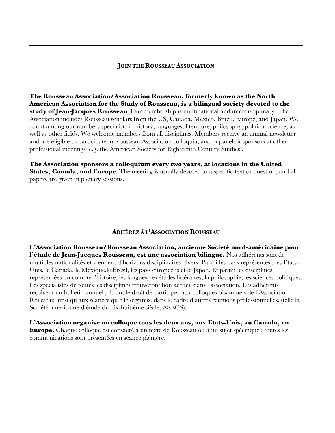#### **JOIN THE ROUSSEAU ASSOCIATION**

**The Rousseau Association/Association Rousseau, formerly known as the North American Association for the Study of Rousseau, is a bilingual society devoted to the study of Jean-Jacques Rousseau**. Our membership is multinational and interdisciplinary. The Association includes Rousseau scholars from the US, Canada, Mexico, Brazil, Europe, and Japan. We count among our numbers specialists in history, languages, literature, philosophy, political science, as well as other fields. We welcome members from all disciplines. Members receive an annual newsletter and are eligible to participate in Rousseau Association colloquia, and in panels it sponsors at other professional meetings (e.g. the American Society for Eighteenth Century Studies).

**The Association sponsors a colloquium every two years, at locations in the United States, Canada, and Europe**. The meeting is usually devoted to a specific text or question, and all papers are given in plenary sessions.

#### **ADHÉREZ À L'ASSOCIATION ROUSSEAU**

**L'Association Rousseau/Rousseau Association, ancienne Société nord-américaine pour l'étude de Jean-Jacques Rousseau, est une association bilingue.** Nos adhérents sont de multiples nationalités et viennent d'horizons disciplinaires divers. Parmi les pays représentés : les Etats-Unis, le Canada, le Mexique,le Brésil, les pays européens et le Japon. Et parmi les disciplines représentées on compte l'histoire, les langues, les études littéraires, la philosophie, les sciences politiques. Les spécialistes de toutes les disciplines trouveront bon accueil dans l'association. Les adhérents reçoivent un bulletin annuel ; ils ont le droit de participer aux colloques bisannuels de l'Association Rousseau ainsi qu'aux séances qu'elle organise dans le cadre d'autres réunions professionnelles, (telle la Société américaine d'étude du dix-huitième siècle, ASECS).

**L'Association organise un colloque tous les deux ans, aux Etats-Unis, au Canada, en Europe.** Chaque colloque est consacré à un texte de Rousseau ou à un sujet spécifique ; toutes les communications sont présentées en séance plénière.